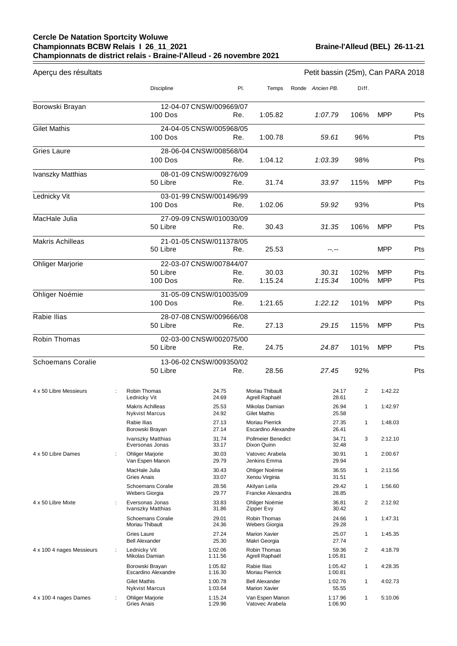## **Cercle De Natation Sportcity Woluwe Championnats BCBW Relais I 26\_11\_2021 Championnats de district relais - Braine-l'Alleud - 26 novembre 2021**

| Aperçu des résultats                            |   |                                                             |                               |            |                                                                             | Petit bassin (25m), Can PARA 2018 |              |                          |            |
|-------------------------------------------------|---|-------------------------------------------------------------|-------------------------------|------------|-----------------------------------------------------------------------------|-----------------------------------|--------------|--------------------------|------------|
|                                                 |   | <b>Discipline</b>                                           |                               | PI.        | Temps                                                                       | Ronde Ancien PB.                  | Diff.        |                          |            |
| Borowski Brayan                                 |   | 100 Dos                                                     | 12-04-07 CNSW/009669/07       | Re.        | 1:05.82                                                                     | 1:07.79                           | 106%         | <b>MPP</b>               | Pts        |
| <b>Gilet Mathis</b>                             |   | 100 Dos                                                     | 24-04-05 CNSW/005968/05       | Re.        | 1:00.78                                                                     | 59.61                             | 96%          |                          | Pts        |
| <b>Gries Laure</b>                              |   | 100 Dos                                                     | 28-06-04 CNSW/008568/04       | Re.        | 1:04.12                                                                     | 1:03.39                           | 98%          |                          | Pts        |
| Ivanszky Matthias                               |   | 50 Libre                                                    | 08-01-09 CNSW/009276/09       | Re.        | 31.74                                                                       | 33.97                             | 115%         | <b>MPP</b>               | Pts        |
| Lednicky Vit                                    |   | 100 Dos                                                     | 03-01-99 CNSW/001496/99       | Re.        | 1:02.06                                                                     | 59.92                             | 93%          |                          | Pts        |
| MacHale Julia                                   |   | 50 Libre                                                    | 27-09-09 CNSW/010030/09       | Re.        | 30.43                                                                       | 31.35                             | 106%         | <b>MPP</b>               | Pts        |
| <b>Makris Achilleas</b>                         |   | 50 Libre                                                    | 21-01-05 CNSW/011378/05       | Re.        | 25.53                                                                       |                                   |              | <b>MPP</b>               | Pts        |
| <b>Ohliger Marjorie</b>                         |   | 50 Libre<br>100 Dos                                         | 22-03-07 CNSW/007844/07       | Re.<br>Re. | 30.03<br>1:15.24                                                            | 30.31<br>1:15.34                  | 102%<br>100% | <b>MPP</b><br><b>MPP</b> | Pts<br>Pts |
| Ohliger Noémie                                  |   | 100 Dos                                                     | 31-05-09 CNSW/010035/09       | Re.        | 1:21.65                                                                     | 1:22.12                           | 101%         | <b>MPP</b>               | Pts        |
| Rabie Ilias                                     |   | 50 Libre                                                    | 28-07-08 CNSW/009666/08       | Re.        | 27.13                                                                       | 29.15                             | 115%         | <b>MPP</b>               | Pts        |
| Robin Thomas                                    |   | 50 Libre                                                    | 02-03-00 CNSW/002075/00       | Re.        | 24.75                                                                       | 24.87                             | 101%         | <b>MPP</b>               | Pts        |
| <b>Schoemans Coralie</b>                        |   | 50 Libre                                                    | 13-06-02 CNSW/009350/02       | Re.        | 28.56                                                                       | 27.45                             | 92%          |                          | Pts        |
| 4 x 50 Libre Messieurs                          |   | Robin Thomas<br>Lednicky Vit<br><b>Makris Achilleas</b>     | 24.75<br>24.69<br>25.53       |            | Moriau Thibault<br>Agrell Raphaël<br>Mikolas Damian                         | 24.17<br>28.61<br>26.94           | 2<br>1       | 1:42.22<br>1:42.97       |            |
|                                                 |   | <b>Nykvist Marcus</b><br>Rabie Ilias<br>Borowski Brayan     | 24.92<br>27.13<br>27.14       |            | <b>Gilet Mathis</b><br><b>Moriau Pierrick</b><br><b>Escardino Alexandre</b> | 25.58<br>27.35<br>26.41           | 1            | 1:48.03                  |            |
|                                                 |   | Ivanszky Matthias<br>Eversonas Jonas                        | 31.74<br>33.17                |            | Pollmeier Benedict<br>Dixon Quinn                                           | 34.71<br>32.48                    | 3            | 2:12.10                  |            |
| 4 x 50 Libre Dames                              | ÷ | <b>Ohliger Marjorie</b><br>Van Espen Manon<br>MacHale Julia | 30.03<br>29.79<br>30.43       |            | Vatovec Arabela<br>Jenkins Emma<br>Ohliger Noémie                           | 30.91<br>29.94<br>36.55           | 1<br>1       | 2:00.67<br>2:11.56       |            |
|                                                 |   | Gries Anais<br><b>Schoemans Coralie</b><br>Webers Giorgia   | 33.07<br>28.56<br>29.77       |            | Xenou Virginia<br>Akilyan Leila<br>Francke Alexandra                        | 31.51<br>29.42<br>28.85           | 1            | 1:56.60                  |            |
| 4 x 50 Libre Mixte<br>4 x 100 4 nages Messieurs | ÷ | Eversonas Jonas<br>Ivanszky Matthias                        | 33.83<br>31.86                |            | Ohliger Noémie<br>Zipper Evy                                                | 36.81<br>30.42                    | 2            | 2:12.92                  |            |
|                                                 |   | Schoemans Coralie<br>Moriau Thibault<br>Gries Laure         | 29.01<br>24.36                |            | Robin Thomas<br>Webers Giorgia<br><b>Marion Xavier</b>                      | 24.66<br>29.28                    | 1            | 1:47.31                  |            |
|                                                 | ÷ | <b>Bell Alexander</b><br>Lednicky Vit                       | 27.24<br>25.30<br>1:02.06     |            | Makri Georgia<br>Robin Thomas                                               | 25.07<br>27.74<br>59.36           | 1<br>2       | 1:45.35<br>4:18.79       |            |
|                                                 |   | Mikolas Damian<br>Borowski Brayan                           | 1:11.56<br>1:05.82            |            | Agrell Raphaël<br>Rabie Ilias                                               | 1:05.81<br>1:05.42                | $\mathbf{1}$ | 4:28.35                  |            |
|                                                 |   | <b>Escardino Alexandre</b><br><b>Gilet Mathis</b>           | 1:16.30<br>1:00.78<br>1:03.64 |            | <b>Moriau Pierrick</b><br><b>Bell Alexander</b><br><b>Marion Xavier</b>     | 1:00.81<br>1:02.76<br>55.55       | 1            | 4:02.73                  |            |
| 4 x 100 4 nages Dames                           | ÷ | Nykvist Marcus<br><b>Ohliger Marjorie</b><br>Gries Anais    | 1:15.24<br>1:29.96            |            | Van Espen Manon<br>Vatovec Arabela                                          | 1:17.96<br>1:06.90                | 1            | 5:10.06                  |            |